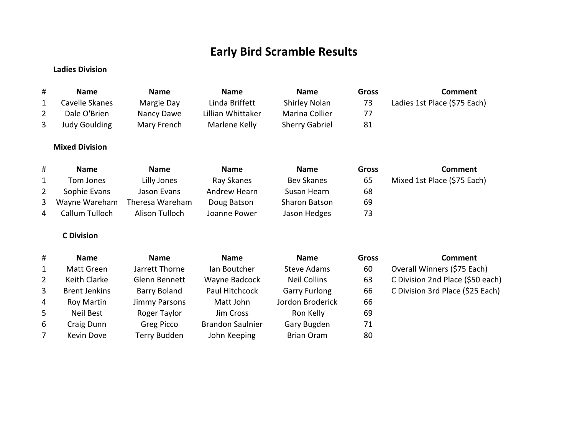## **Early Bird Scramble Results**

## **Ladies Division**

| #              | <b>Name</b>           | <b>Name</b>          | <b>Name</b>             | <b>Name</b>           | <b>Gross</b> | <b>Comment</b>                   |
|----------------|-----------------------|----------------------|-------------------------|-----------------------|--------------|----------------------------------|
| 1              | Cavelle Skanes        | Margie Day           | Linda Briffett          | Shirley Nolan         | 73           | Ladies 1st Place (\$75 Each)     |
| $\overline{2}$ | Dale O'Brien          | Nancy Dawe           | Lillian Whittaker       | Marina Collier        | 77           |                                  |
| 3              | <b>Judy Goulding</b>  | Mary French          | Marlene Kelly           | <b>Sherry Gabriel</b> | 81           |                                  |
|                | <b>Mixed Division</b> |                      |                         |                       |              |                                  |
| #              | <b>Name</b>           | <b>Name</b>          | <b>Name</b>             | <b>Name</b>           | <b>Gross</b> | <b>Comment</b>                   |
| 1              | Tom Jones             | Lilly Jones          | Ray Skanes              | <b>Bev Skanes</b>     | 65           | Mixed 1st Place (\$75 Each)      |
| 2              | Sophie Evans          | Jason Evans          | Andrew Hearn            | Susan Hearn           | 68           |                                  |
| 3              | Wayne Wareham         | Theresa Wareham      | Doug Batson             | Sharon Batson         | 69           |                                  |
| 4              | Callum Tulloch        | Alison Tulloch       | Joanne Power            | Jason Hedges          | 73           |                                  |
|                | <b>C</b> Division     |                      |                         |                       |              |                                  |
| #              | <b>Name</b>           | <b>Name</b>          | <b>Name</b>             | <b>Name</b>           | <b>Gross</b> | <b>Comment</b>                   |
| 1              | <b>Matt Green</b>     | Jarrett Thorne       | lan Boutcher            | <b>Steve Adams</b>    | 60           | Overall Winners (\$75 Each)      |
| $\overline{2}$ | Keith Clarke          | Glenn Bennett        | Wayne Badcock           | <b>Neil Collins</b>   | 63           | C Division 2nd Place (\$50 each) |
| 3              | <b>Brent Jenkins</b>  | <b>Barry Boland</b>  | Paul Hitchcock          | <b>Garry Furlong</b>  | 66           | C Division 3rd Place (\$25 Each) |
| 4              | <b>Roy Martin</b>     | <b>Jimmy Parsons</b> | Matt John               | Jordon Broderick      | 66           |                                  |
| 5              | Neil Best             | Roger Taylor         | Jim Cross               | Ron Kelly             | 69           |                                  |
| 6              | Craig Dunn            | Greg Picco           | <b>Brandon Saulnier</b> | Gary Bugden           | 71           |                                  |
| 7              | Kevin Dove            | <b>Terry Budden</b>  | John Keeping            | <b>Brian Oram</b>     | 80           |                                  |